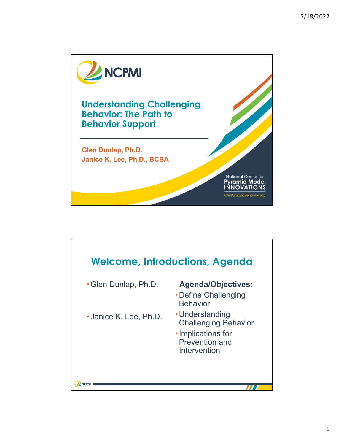

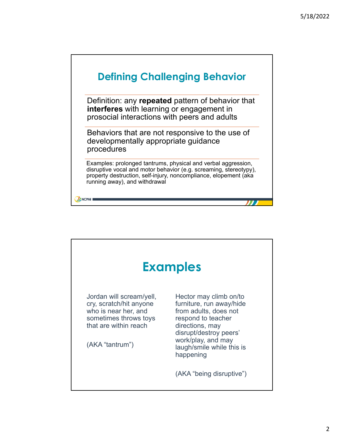

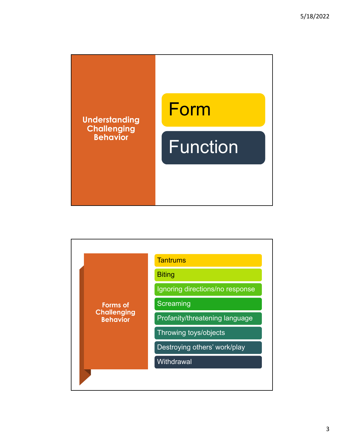

| <b>Forms of</b><br><b>Challenging</b><br><b>Behavior</b> | <b>Tantrums</b>                 |
|----------------------------------------------------------|---------------------------------|
|                                                          | <b>Biting</b>                   |
|                                                          | Ignoring directions/no response |
|                                                          | Screaming                       |
|                                                          | Profanity/threatening language  |
|                                                          | Throwing toys/objects           |
|                                                          | Destroying others' work/play    |
|                                                          | Withdrawal                      |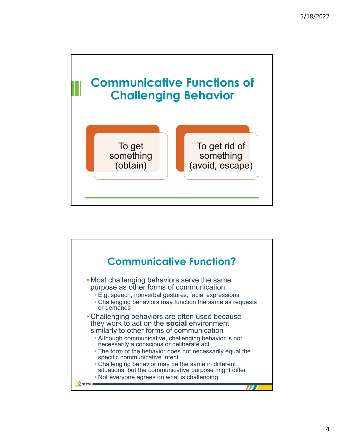

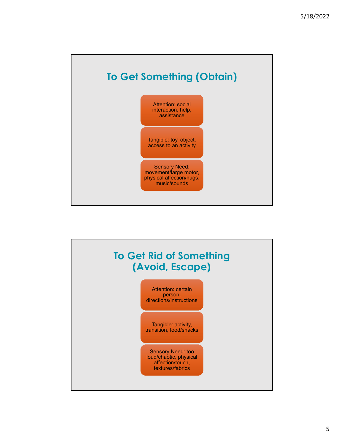

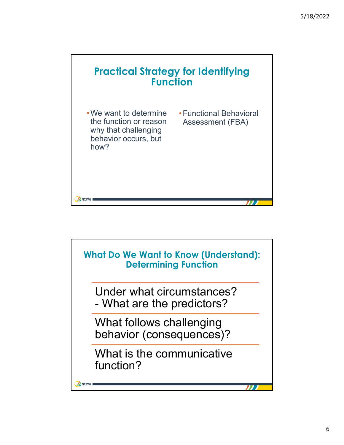

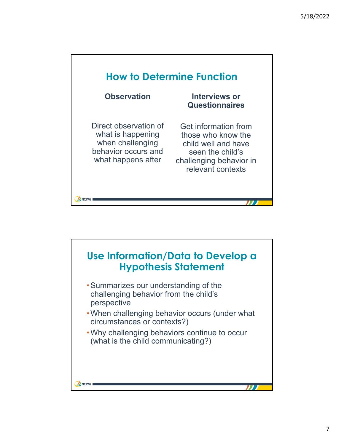

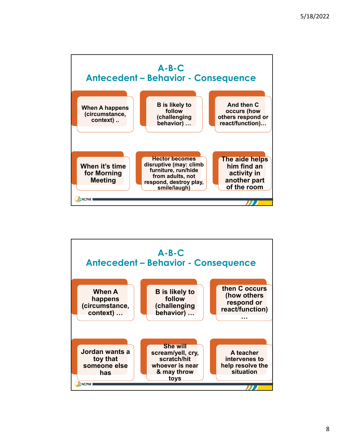

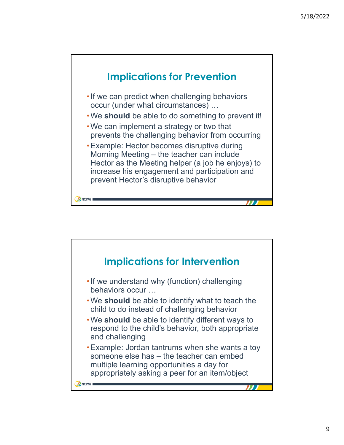

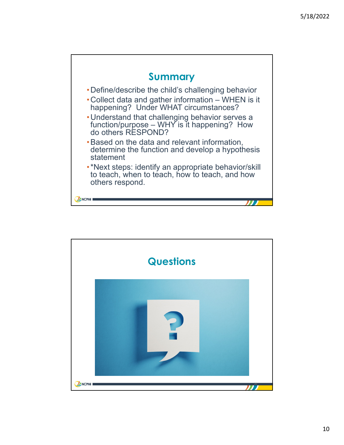

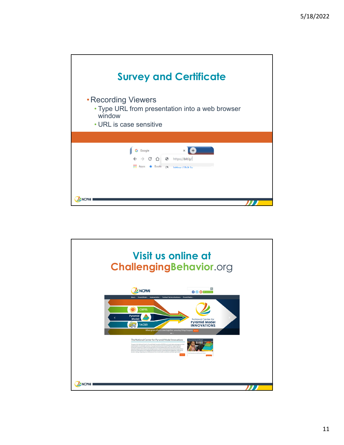